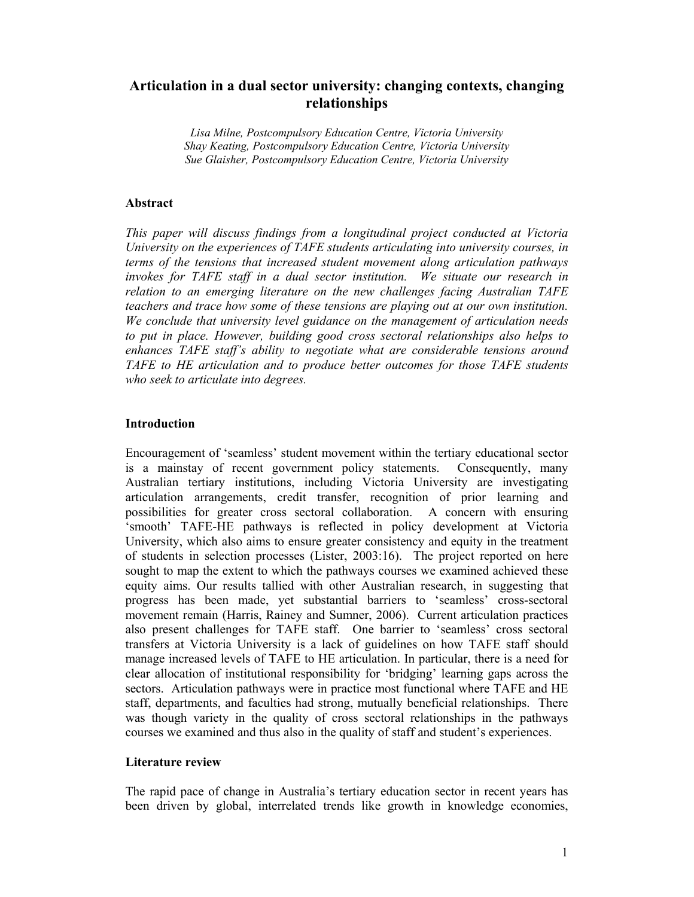# **Articulation in a dual sector university: changing contexts, changing relationships**

*Lisa Milne, Postcompulsory Education Centre, Victoria University Shay Keating, Postcompulsory Education Centre, Victoria University Sue Glaisher, Postcompulsory Education Centre, Victoria University* 

## **Abstract**

*This paper will discuss findings from a longitudinal project conducted at Victoria University on the experiences of TAFE students articulating into university courses, in terms of the tensions that increased student movement along articulation pathways invokes for TAFE staff in a dual sector institution. We situate our research in relation to an emerging literature on the new challenges facing Australian TAFE teachers and trace how some of these tensions are playing out at our own institution. We conclude that university level guidance on the management of articulation needs to put in place. However, building good cross sectoral relationships also helps to enhances TAFE staff's ability to negotiate what are considerable tensions around TAFE to HE articulation and to produce better outcomes for those TAFE students who seek to articulate into degrees.* 

## **Introduction**

Encouragement of 'seamless' student movement within the tertiary educational sector is a mainstay of recent government policy statements. Consequently, many Australian tertiary institutions, including Victoria University are investigating articulation arrangements, credit transfer, recognition of prior learning and possibilities for greater cross sectoral collaboration. A concern with ensuring 'smooth' TAFE-HE pathways is reflected in policy development at Victoria University, which also aims to ensure greater consistency and equity in the treatment of students in selection processes (Lister, 2003:16). The project reported on here sought to map the extent to which the pathways courses we examined achieved these equity aims. Our results tallied with other Australian research, in suggesting that progress has been made, yet substantial barriers to 'seamless' cross-sectoral movement remain (Harris, Rainey and Sumner, 2006). Current articulation practices also present challenges for TAFE staff. One barrier to 'seamless' cross sectoral transfers at Victoria University is a lack of guidelines on how TAFE staff should manage increased levels of TAFE to HE articulation. In particular, there is a need for clear allocation of institutional responsibility for 'bridging' learning gaps across the sectors. Articulation pathways were in practice most functional where TAFE and HE staff, departments, and faculties had strong, mutually beneficial relationships. There was though variety in the quality of cross sectoral relationships in the pathways courses we examined and thus also in the quality of staff and student's experiences.

#### **Literature review**

The rapid pace of change in Australia's tertiary education sector in recent years has been driven by global, interrelated trends like growth in knowledge economies,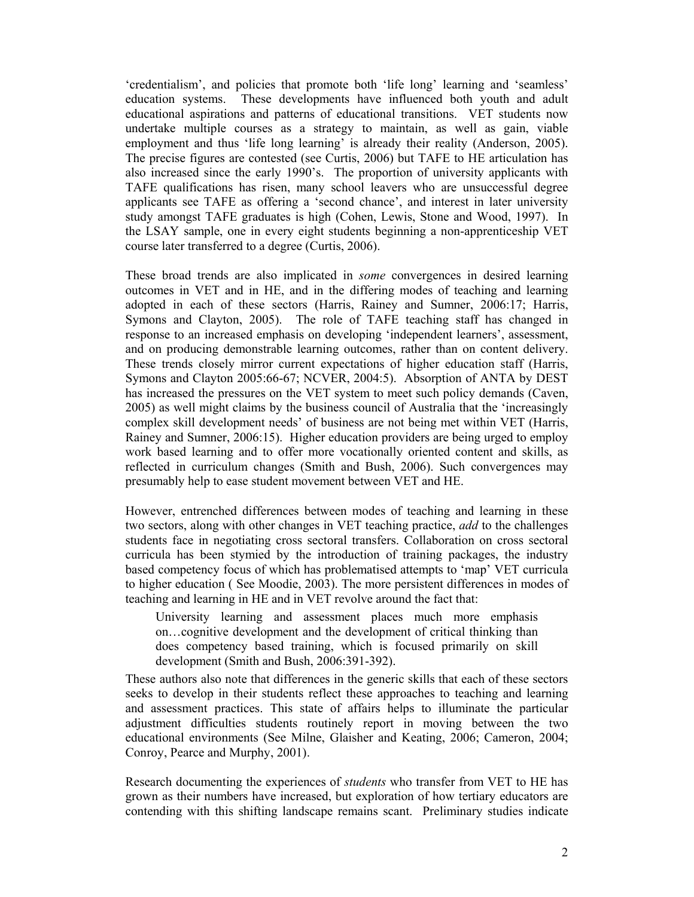'credentialism', and policies that promote both 'life long' learning and 'seamless' education systems. These developments have influenced both youth and adult educational aspirations and patterns of educational transitions. VET students now undertake multiple courses as a strategy to maintain, as well as gain, viable employment and thus 'life long learning' is already their reality (Anderson, 2005). The precise figures are contested (see Curtis, 2006) but TAFE to HE articulation has also increased since the early 1990's. The proportion of university applicants with TAFE qualifications has risen, many school leavers who are unsuccessful degree applicants see TAFE as offering a 'second chance', and interest in later university study amongst TAFE graduates is high (Cohen, Lewis, Stone and Wood, 1997). In the LSAY sample, one in every eight students beginning a non-apprenticeship VET course later transferred to a degree (Curtis, 2006).

These broad trends are also implicated in *some* convergences in desired learning outcomes in VET and in HE, and in the differing modes of teaching and learning adopted in each of these sectors (Harris, Rainey and Sumner, 2006:17; Harris, Symons and Clayton, 2005). The role of TAFE teaching staff has changed in response to an increased emphasis on developing 'independent learners', assessment, and on producing demonstrable learning outcomes, rather than on content delivery. These trends closely mirror current expectations of higher education staff (Harris, Symons and Clayton 2005:66-67; NCVER, 2004:5). Absorption of ANTA by DEST has increased the pressures on the VET system to meet such policy demands (Caven, 2005) as well might claims by the business council of Australia that the 'increasingly complex skill development needs' of business are not being met within VET (Harris, Rainey and Sumner, 2006:15). Higher education providers are being urged to employ work based learning and to offer more vocationally oriented content and skills, as reflected in curriculum changes (Smith and Bush, 2006). Such convergences may presumably help to ease student movement between VET and HE.

However, entrenched differences between modes of teaching and learning in these two sectors, along with other changes in VET teaching practice, *add* to the challenges students face in negotiating cross sectoral transfers. Collaboration on cross sectoral curricula has been stymied by the introduction of training packages, the industry based competency focus of which has problematised attempts to 'map' VET curricula to higher education ( See Moodie, 2003). The more persistent differences in modes of teaching and learning in HE and in VET revolve around the fact that:

University learning and assessment places much more emphasis on…cognitive development and the development of critical thinking than does competency based training, which is focused primarily on skill development (Smith and Bush, 2006:391-392).

These authors also note that differences in the generic skills that each of these sectors seeks to develop in their students reflect these approaches to teaching and learning and assessment practices. This state of affairs helps to illuminate the particular adjustment difficulties students routinely report in moving between the two educational environments (See Milne, Glaisher and Keating, 2006; Cameron, 2004; Conroy, Pearce and Murphy, 2001).

Research documenting the experiences of *students* who transfer from VET to HE has grown as their numbers have increased, but exploration of how tertiary educators are contending with this shifting landscape remains scant. Preliminary studies indicate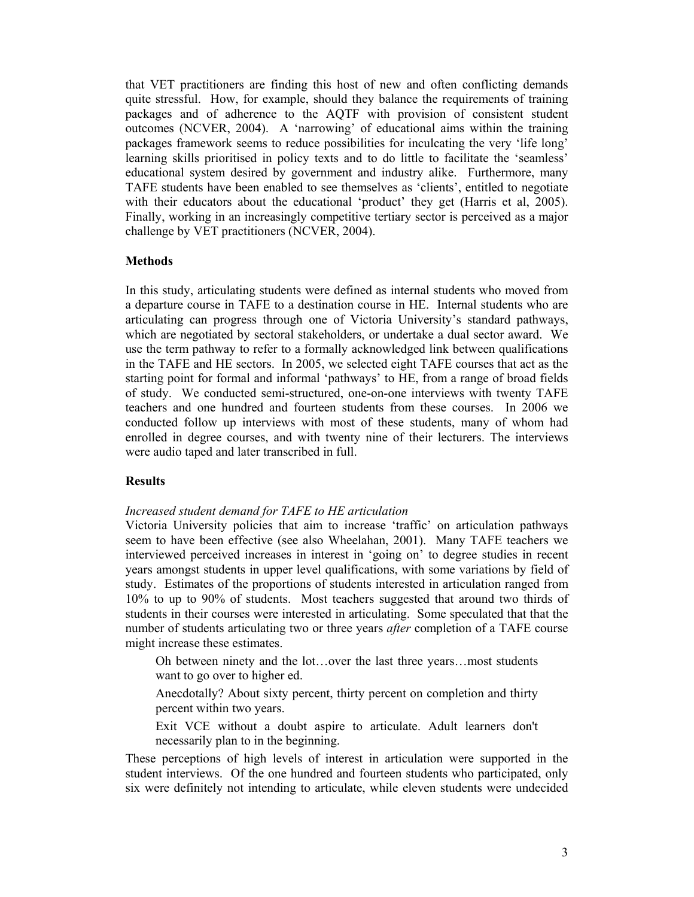that VET practitioners are finding this host of new and often conflicting demands quite stressful. How, for example, should they balance the requirements of training packages and of adherence to the AQTF with provision of consistent student outcomes (NCVER, 2004). A 'narrowing' of educational aims within the training packages framework seems to reduce possibilities for inculcating the very 'life long' learning skills prioritised in policy texts and to do little to facilitate the 'seamless' educational system desired by government and industry alike. Furthermore, many TAFE students have been enabled to see themselves as 'clients', entitled to negotiate with their educators about the educational 'product' they get (Harris et al, 2005). Finally, working in an increasingly competitive tertiary sector is perceived as a major challenge by VET practitioners (NCVER, 2004).

## **Methods**

In this study, articulating students were defined as internal students who moved from a departure course in TAFE to a destination course in HE. Internal students who are articulating can progress through one of Victoria University's standard pathways, which are negotiated by sectoral stakeholders, or undertake a dual sector award. We use the term pathway to refer to a formally acknowledged link between qualifications in the TAFE and HE sectors. In 2005, we selected eight TAFE courses that act as the starting point for formal and informal 'pathways' to HE, from a range of broad fields of study. We conducted semi-structured, one-on-one interviews with twenty TAFE teachers and one hundred and fourteen students from these courses. In 2006 we conducted follow up interviews with most of these students, many of whom had enrolled in degree courses, and with twenty nine of their lecturers. The interviews were audio taped and later transcribed in full.

#### **Results**

#### *Increased student demand for TAFE to HE articulation*

Victoria University policies that aim to increase 'traffic' on articulation pathways seem to have been effective (see also Wheelahan, 2001). Many TAFE teachers we interviewed perceived increases in interest in 'going on' to degree studies in recent years amongst students in upper level qualifications, with some variations by field of study. Estimates of the proportions of students interested in articulation ranged from 10% to up to 90% of students. Most teachers suggested that around two thirds of students in their courses were interested in articulating. Some speculated that that the number of students articulating two or three years *after* completion of a TAFE course might increase these estimates.

Oh between ninety and the lot…over the last three years…most students want to go over to higher ed.

Anecdotally? About sixty percent, thirty percent on completion and thirty percent within two years.

Exit VCE without a doubt aspire to articulate. Adult learners don't necessarily plan to in the beginning.

These perceptions of high levels of interest in articulation were supported in the student interviews. Of the one hundred and fourteen students who participated, only six were definitely not intending to articulate, while eleven students were undecided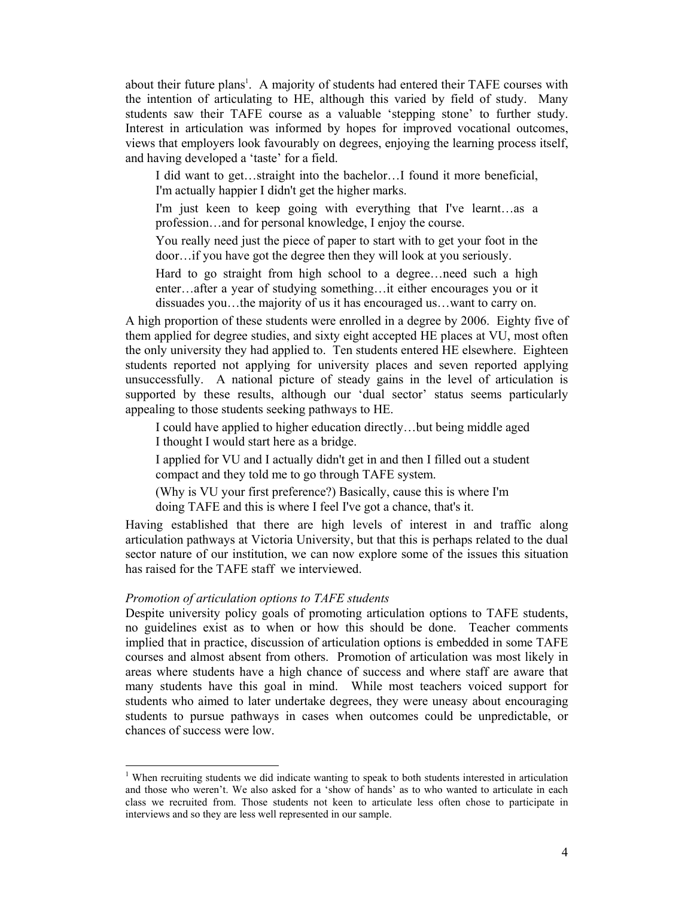about their future plans<sup>1</sup>. A majority of students had entered their TAFE courses with the intention of articulating to HE, although this varied by field of study. Many students saw their TAFE course as a valuable 'stepping stone' to further study. Interest in articulation was informed by hopes for improved vocational outcomes, views that employers look favourably on degrees, enjoying the learning process itself, and having developed a 'taste' for a field.

I did want to get…straight into the bachelor…I found it more beneficial, I'm actually happier I didn't get the higher marks.

I'm just keen to keep going with everything that I've learnt…as a profession…and for personal knowledge, I enjoy the course.

You really need just the piece of paper to start with to get your foot in the door…if you have got the degree then they will look at you seriously.

Hard to go straight from high school to a degree…need such a high enter…after a year of studying something…it either encourages you or it dissuades you…the majority of us it has encouraged us…want to carry on.

A high proportion of these students were enrolled in a degree by 2006. Eighty five of them applied for degree studies, and sixty eight accepted HE places at VU, most often the only university they had applied to. Ten students entered HE elsewhere. Eighteen students reported not applying for university places and seven reported applying unsuccessfully. A national picture of steady gains in the level of articulation is supported by these results, although our 'dual sector' status seems particularly appealing to those students seeking pathways to HE.

I could have applied to higher education directly…but being middle aged I thought I would start here as a bridge.

I applied for VU and I actually didn't get in and then I filled out a student compact and they told me to go through TAFE system.

(Why is VU your first preference?) Basically, cause this is where I'm doing TAFE and this is where I feel I've got a chance, that's it.

Having established that there are high levels of interest in and traffic along articulation pathways at Victoria University, but that this is perhaps related to the dual sector nature of our institution, we can now explore some of the issues this situation has raised for the TAFE staff we interviewed.

#### *Promotion of articulation options to TAFE students*

 $\overline{a}$ 

Despite university policy goals of promoting articulation options to TAFE students, no guidelines exist as to when or how this should be done. Teacher comments implied that in practice, discussion of articulation options is embedded in some TAFE courses and almost absent from others. Promotion of articulation was most likely in areas where students have a high chance of success and where staff are aware that many students have this goal in mind. While most teachers voiced support for students who aimed to later undertake degrees, they were uneasy about encouraging students to pursue pathways in cases when outcomes could be unpredictable, or chances of success were low.

<sup>&</sup>lt;sup>1</sup> When recruiting students we did indicate wanting to speak to both students interested in articulation and those who weren't. We also asked for a 'show of hands' as to who wanted to articulate in each class we recruited from. Those students not keen to articulate less often chose to participate in interviews and so they are less well represented in our sample.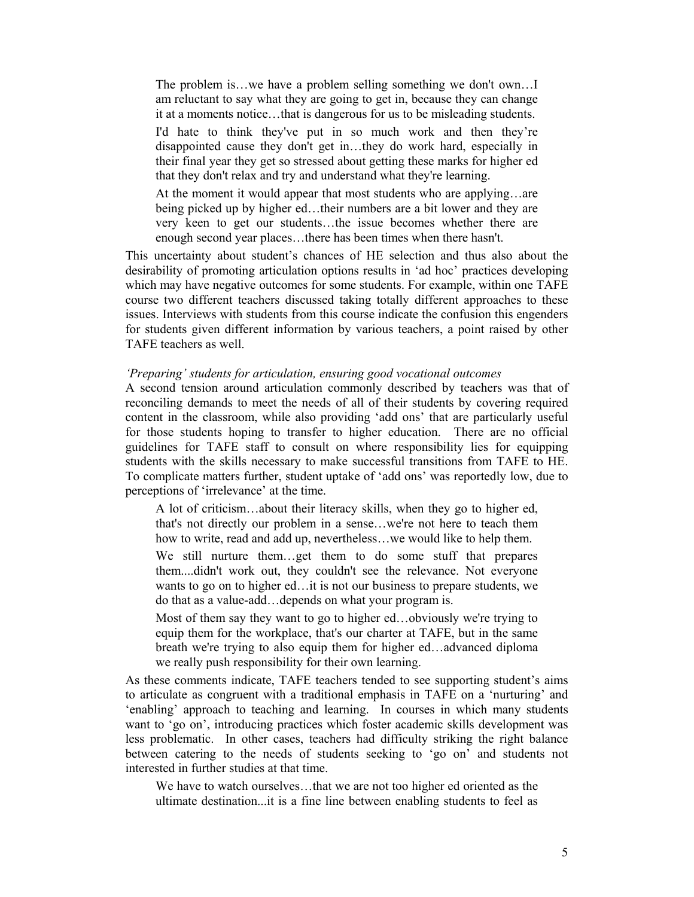The problem is…we have a problem selling something we don't own…I am reluctant to say what they are going to get in, because they can change it at a moments notice…that is dangerous for us to be misleading students.

I'd hate to think they've put in so much work and then they're disappointed cause they don't get in…they do work hard, especially in their final year they get so stressed about getting these marks for higher ed that they don't relax and try and understand what they're learning.

At the moment it would appear that most students who are applying…are being picked up by higher ed…their numbers are a bit lower and they are very keen to get our students…the issue becomes whether there are enough second year places…there has been times when there hasn't.

This uncertainty about student's chances of HE selection and thus also about the desirability of promoting articulation options results in 'ad hoc' practices developing which may have negative outcomes for some students. For example, within one TAFE course two different teachers discussed taking totally different approaches to these issues. Interviews with students from this course indicate the confusion this engenders for students given different information by various teachers, a point raised by other TAFE teachers as well.

#### *'Preparing' students for articulation, ensuring good vocational outcomes*

A second tension around articulation commonly described by teachers was that of reconciling demands to meet the needs of all of their students by covering required content in the classroom, while also providing 'add ons' that are particularly useful for those students hoping to transfer to higher education. There are no official guidelines for TAFE staff to consult on where responsibility lies for equipping students with the skills necessary to make successful transitions from TAFE to HE. To complicate matters further, student uptake of 'add ons' was reportedly low, due to perceptions of 'irrelevance' at the time.

A lot of criticism…about their literacy skills, when they go to higher ed, that's not directly our problem in a sense…we're not here to teach them how to write, read and add up, nevertheless…we would like to help them.

We still nurture them…get them to do some stuff that prepares them....didn't work out, they couldn't see the relevance. Not everyone wants to go on to higher ed…it is not our business to prepare students, we do that as a value-add…depends on what your program is.

Most of them say they want to go to higher ed…obviously we're trying to equip them for the workplace, that's our charter at TAFE, but in the same breath we're trying to also equip them for higher ed…advanced diploma we really push responsibility for their own learning.

As these comments indicate, TAFE teachers tended to see supporting student's aims to articulate as congruent with a traditional emphasis in TAFE on a 'nurturing' and 'enabling' approach to teaching and learning. In courses in which many students want to 'go on', introducing practices which foster academic skills development was less problematic. In other cases, teachers had difficulty striking the right balance between catering to the needs of students seeking to 'go on' and students not interested in further studies at that time.

We have to watch ourselves…that we are not too higher ed oriented as the ultimate destination...it is a fine line between enabling students to feel as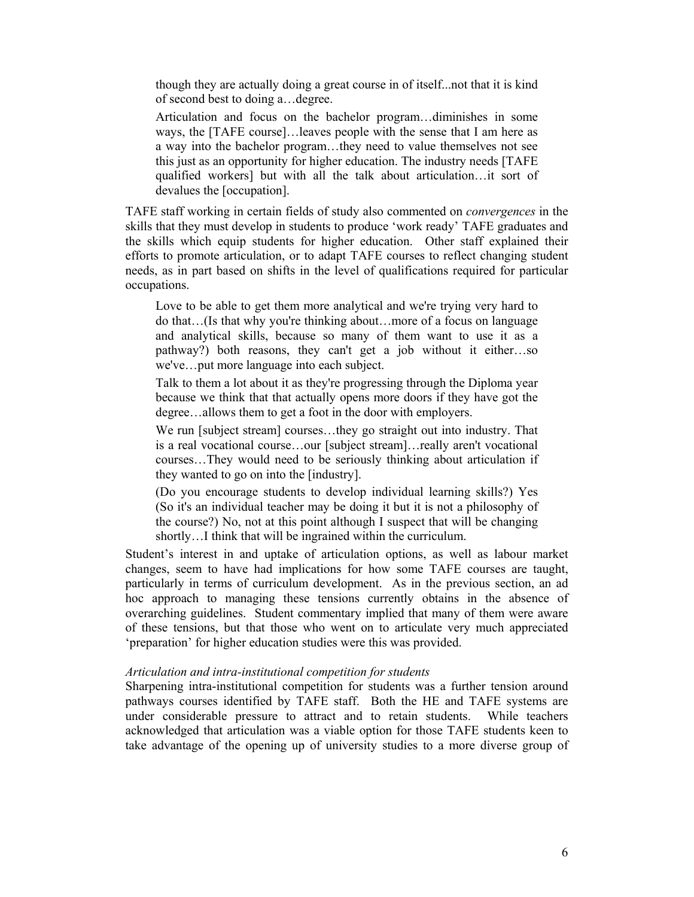though they are actually doing a great course in of itself...not that it is kind of second best to doing a…degree.

Articulation and focus on the bachelor program…diminishes in some ways, the [TAFE course]…leaves people with the sense that I am here as a way into the bachelor program…they need to value themselves not see this just as an opportunity for higher education. The industry needs [TAFE qualified workers] but with all the talk about articulation…it sort of devalues the [occupation].

TAFE staff working in certain fields of study also commented on *convergences* in the skills that they must develop in students to produce 'work ready' TAFE graduates and the skills which equip students for higher education. Other staff explained their efforts to promote articulation, or to adapt TAFE courses to reflect changing student needs, as in part based on shifts in the level of qualifications required for particular occupations.

Love to be able to get them more analytical and we're trying very hard to do that…(Is that why you're thinking about…more of a focus on language and analytical skills, because so many of them want to use it as a pathway?) both reasons, they can't get a job without it either…so we've…put more language into each subject.

Talk to them a lot about it as they're progressing through the Diploma year because we think that that actually opens more doors if they have got the degree…allows them to get a foot in the door with employers.

We run [subject stream] courses...they go straight out into industry. That is a real vocational course…our [subject stream]…really aren't vocational courses…They would need to be seriously thinking about articulation if they wanted to go on into the [industry].

(Do you encourage students to develop individual learning skills?) Yes (So it's an individual teacher may be doing it but it is not a philosophy of the course?) No, not at this point although I suspect that will be changing shortly…I think that will be ingrained within the curriculum.

Student's interest in and uptake of articulation options, as well as labour market changes, seem to have had implications for how some TAFE courses are taught, particularly in terms of curriculum development. As in the previous section, an ad hoc approach to managing these tensions currently obtains in the absence of overarching guidelines. Student commentary implied that many of them were aware of these tensions, but that those who went on to articulate very much appreciated 'preparation' for higher education studies were this was provided.

## *Articulation and intra-institutional competition for students*

Sharpening intra-institutional competition for students was a further tension around pathways courses identified by TAFE staff. Both the HE and TAFE systems are under considerable pressure to attract and to retain students. While teachers acknowledged that articulation was a viable option for those TAFE students keen to take advantage of the opening up of university studies to a more diverse group of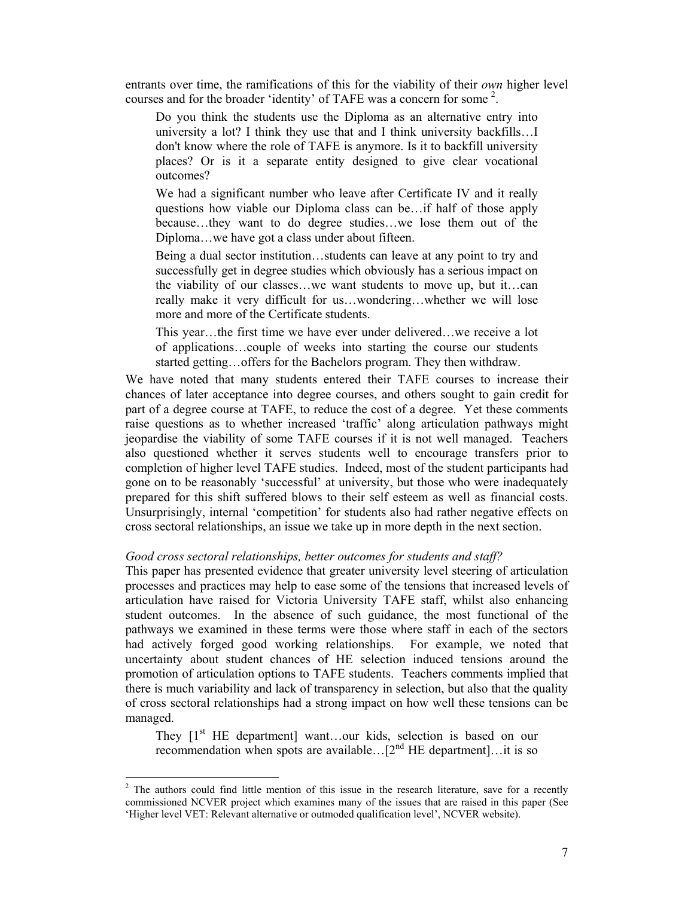entrants over time, the ramifications of this for the viability of their *own* higher level courses and for the broader 'identity' of TAFE was a concern for some  $2$ .

Do you think the students use the Diploma as an alternative entry into university a lot? I think they use that and I think university backfills…I don't know where the role of TAFE is anymore. Is it to backfill university places? Or is it a separate entity designed to give clear vocational outcomes?

We had a significant number who leave after Certificate IV and it really questions how viable our Diploma class can be…if half of those apply because…they want to do degree studies…we lose them out of the Diploma…we have got a class under about fifteen.

Being a dual sector institution…students can leave at any point to try and successfully get in degree studies which obviously has a serious impact on the viability of our classes…we want students to move up, but it…can really make it very difficult for us…wondering…whether we will lose more and more of the Certificate students.

This year…the first time we have ever under delivered…we receive a lot of applications…couple of weeks into starting the course our students started getting…offers for the Bachelors program. They then withdraw.

We have noted that many students entered their TAFE courses to increase their chances of later acceptance into degree courses, and others sought to gain credit for part of a degree course at TAFE, to reduce the cost of a degree. Yet these comments raise questions as to whether increased 'traffic' along articulation pathways might jeopardise the viability of some TAFE courses if it is not well managed. Teachers also questioned whether it serves students well to encourage transfers prior to completion of higher level TAFE studies. Indeed, most of the student participants had gone on to be reasonably 'successful' at university, but those who were inadequately prepared for this shift suffered blows to their self esteem as well as financial costs. Unsurprisingly, internal 'competition' for students also had rather negative effects on cross sectoral relationships, an issue we take up in more depth in the next section.

### *Good cross sectoral relationships, better outcomes for students and staff?*

This paper has presented evidence that greater university level steering of articulation processes and practices may help to ease some of the tensions that increased levels of articulation have raised for Victoria University TAFE staff, whilst also enhancing student outcomes. In the absence of such guidance, the most functional of the pathways we examined in these terms were those where staff in each of the sectors had actively forged good working relationships. For example, we noted that uncertainty about student chances of HE selection induced tensions around the promotion of articulation options to TAFE students. Teachers comments implied that there is much variability and lack of transparency in selection, but also that the quality of cross sectoral relationships had a strong impact on how well these tensions can be managed.

They  $[1<sup>st</sup> HE$  department] want...our kids, selection is based on our recommendation when spots are available... $[2^{nd}]$  HE department...it is so

 $\overline{a}$ 

 $2$  The authors could find little mention of this issue in the research literature, save for a recently commissioned NCVER project which examines many of the issues that are raised in this paper (See 'Higher level VET: Relevant alternative or outmoded qualification level', NCVER website).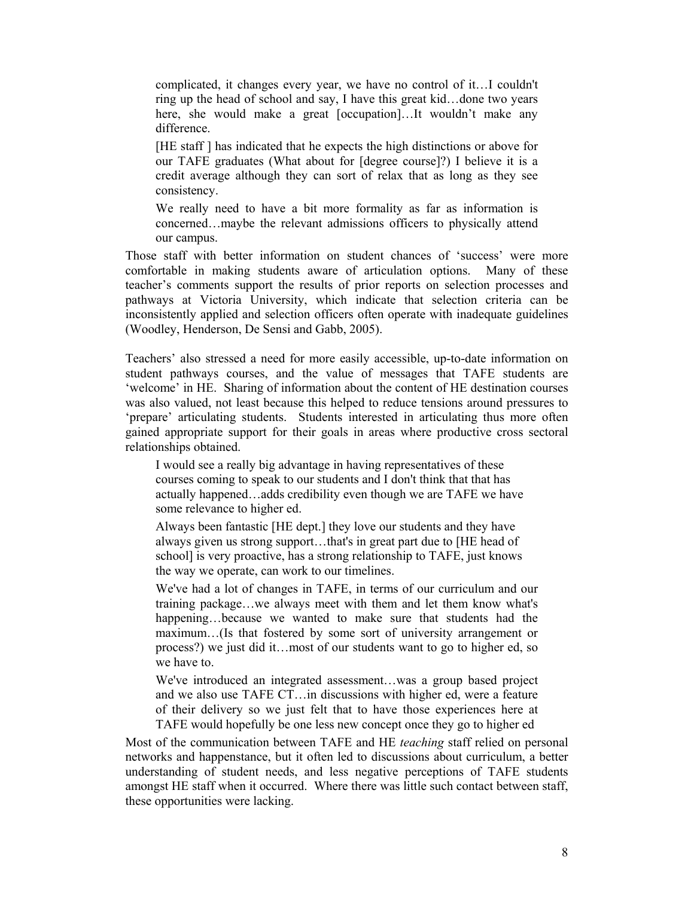complicated, it changes every year, we have no control of it…I couldn't ring up the head of school and say, I have this great kid…done two years here, she would make a great [occupation]...It wouldn't make any difference.

[HE staff ] has indicated that he expects the high distinctions or above for our TAFE graduates (What about for [degree course]?) I believe it is a credit average although they can sort of relax that as long as they see consistency.

We really need to have a bit more formality as far as information is concerned…maybe the relevant admissions officers to physically attend our campus.

Those staff with better information on student chances of 'success' were more comfortable in making students aware of articulation options. Many of these teacher's comments support the results of prior reports on selection processes and pathways at Victoria University, which indicate that selection criteria can be inconsistently applied and selection officers often operate with inadequate guidelines (Woodley, Henderson, De Sensi and Gabb, 2005).

Teachers' also stressed a need for more easily accessible, up-to-date information on student pathways courses, and the value of messages that TAFE students are 'welcome' in HE. Sharing of information about the content of HE destination courses was also valued, not least because this helped to reduce tensions around pressures to 'prepare' articulating students. Students interested in articulating thus more often gained appropriate support for their goals in areas where productive cross sectoral relationships obtained.

I would see a really big advantage in having representatives of these courses coming to speak to our students and I don't think that that has actually happened…adds credibility even though we are TAFE we have some relevance to higher ed.

Always been fantastic [HE dept.] they love our students and they have always given us strong support…that's in great part due to [HE head of school] is very proactive, has a strong relationship to TAFE, just knows the way we operate, can work to our timelines.

We've had a lot of changes in TAFE, in terms of our curriculum and our training package…we always meet with them and let them know what's happening…because we wanted to make sure that students had the maximum…(Is that fostered by some sort of university arrangement or process?) we just did it…most of our students want to go to higher ed, so we have to.

We've introduced an integrated assessment…was a group based project and we also use TAFE CT…in discussions with higher ed, were a feature of their delivery so we just felt that to have those experiences here at TAFE would hopefully be one less new concept once they go to higher ed

Most of the communication between TAFE and HE *teaching* staff relied on personal networks and happenstance, but it often led to discussions about curriculum, a better understanding of student needs, and less negative perceptions of TAFE students amongst HE staff when it occurred. Where there was little such contact between staff, these opportunities were lacking.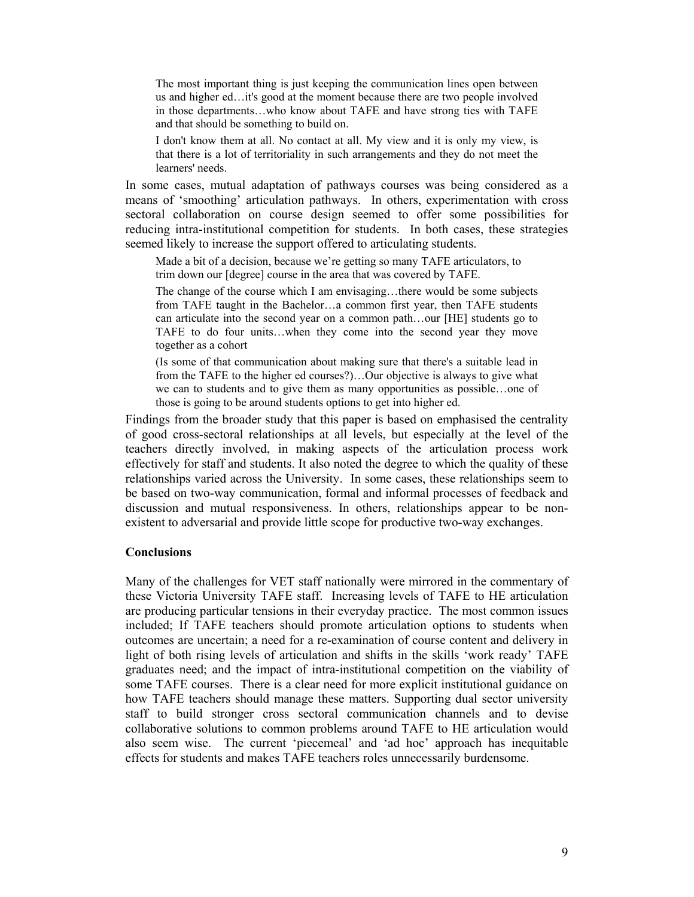The most important thing is just keeping the communication lines open between us and higher ed…it's good at the moment because there are two people involved in those departments…who know about TAFE and have strong ties with TAFE and that should be something to build on.

I don't know them at all. No contact at all. My view and it is only my view, is that there is a lot of territoriality in such arrangements and they do not meet the learners' needs.

In some cases, mutual adaptation of pathways courses was being considered as a means of 'smoothing' articulation pathways. In others, experimentation with cross sectoral collaboration on course design seemed to offer some possibilities for reducing intra-institutional competition for students. In both cases, these strategies seemed likely to increase the support offered to articulating students.

Made a bit of a decision, because we're getting so many TAFE articulators, to trim down our [degree] course in the area that was covered by TAFE.

The change of the course which I am envisaging...there would be some subjects from TAFE taught in the Bachelor…a common first year, then TAFE students can articulate into the second year on a common path…our [HE] students go to TAFE to do four units…when they come into the second year they move together as a cohort

(Is some of that communication about making sure that there's a suitable lead in from the TAFE to the higher ed courses?)…Our objective is always to give what we can to students and to give them as many opportunities as possible…one of those is going to be around students options to get into higher ed.

Findings from the broader study that this paper is based on emphasised the centrality of good cross-sectoral relationships at all levels, but especially at the level of the teachers directly involved, in making aspects of the articulation process work effectively for staff and students. It also noted the degree to which the quality of these relationships varied across the University. In some cases, these relationships seem to be based on two-way communication, formal and informal processes of feedback and discussion and mutual responsiveness. In others, relationships appear to be nonexistent to adversarial and provide little scope for productive two-way exchanges.

#### **Conclusions**

Many of the challenges for VET staff nationally were mirrored in the commentary of these Victoria University TAFE staff. Increasing levels of TAFE to HE articulation are producing particular tensions in their everyday practice. The most common issues included; If TAFE teachers should promote articulation options to students when outcomes are uncertain; a need for a re-examination of course content and delivery in light of both rising levels of articulation and shifts in the skills 'work ready' TAFE graduates need; and the impact of intra-institutional competition on the viability of some TAFE courses. There is a clear need for more explicit institutional guidance on how TAFE teachers should manage these matters. Supporting dual sector university staff to build stronger cross sectoral communication channels and to devise collaborative solutions to common problems around TAFE to HE articulation would also seem wise. The current 'piecemeal' and 'ad hoc' approach has inequitable effects for students and makes TAFE teachers roles unnecessarily burdensome.